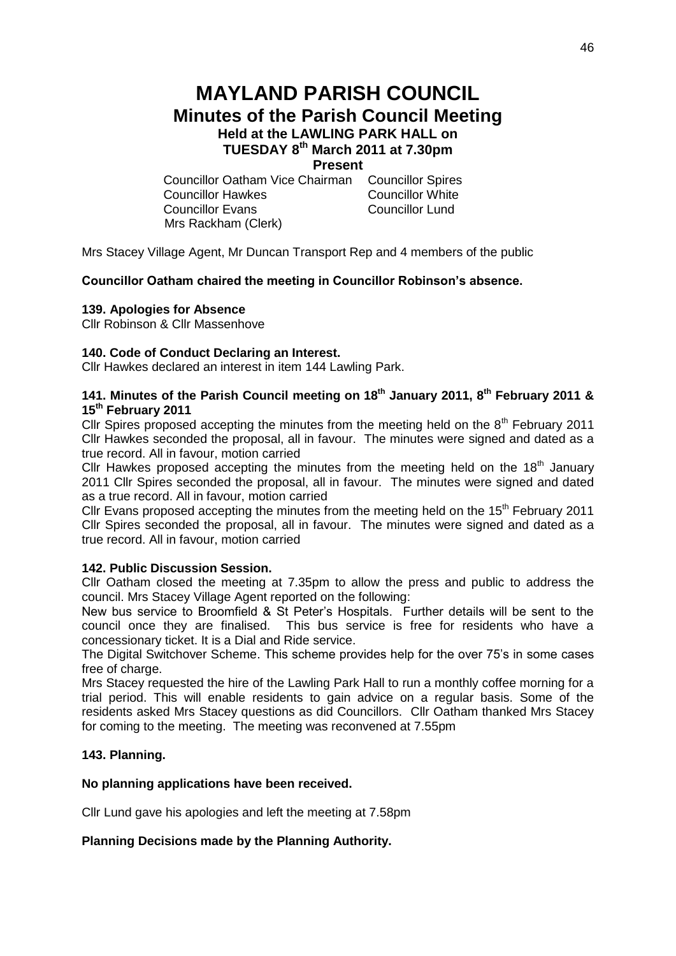# **MAYLAND PARISH COUNCIL Minutes of the Parish Council Meeting Held at the LAWLING PARK HALL on TUESDAY 8 th March 2011 at 7.30pm Present**

Councillor Oatham Vice Chairman Councillor Spires Councillor Hawkes Councillor White Councillor Evans Councillor Lund Mrs Rackham (Clerk)

Mrs Stacey Village Agent, Mr Duncan Transport Rep and 4 members of the public

# **Councillor Oatham chaired the meeting in Councillor Robinson's absence.**

## **139. Apologies for Absence**

Cllr Robinson & Cllr Massenhove

## **140. Code of Conduct Declaring an Interest.**

Cllr Hawkes declared an interest in item 144 Lawling Park.

# **141. Minutes of the Parish Council meeting on 18th January 2011, 8th February 2011 & 15th February 2011**

Cllr Spires proposed accepting the minutes from the meeting held on the  $8<sup>th</sup>$  February 2011 Cllr Hawkes seconded the proposal, all in favour. The minutes were signed and dated as a true record. All in favour, motion carried

Cllr Hawkes proposed accepting the minutes from the meeting held on the  $18<sup>th</sup>$  January 2011 Cllr Spires seconded the proposal, all in favour. The minutes were signed and dated as a true record. All in favour, motion carried

Cllr Evans proposed accepting the minutes from the meeting held on the 15<sup>th</sup> February 2011 Cllr Spires seconded the proposal, all in favour. The minutes were signed and dated as a true record. All in favour, motion carried

#### **142. Public Discussion Session.**

Cllr Oatham closed the meeting at 7.35pm to allow the press and public to address the council. Mrs Stacey Village Agent reported on the following:

New bus service to Broomfield & St Peter's Hospitals. Further details will be sent to the council once they are finalised. This bus service is free for residents who have a concessionary ticket. It is a Dial and Ride service.

The Digital Switchover Scheme. This scheme provides help for the over 75's in some cases free of charge.

Mrs Stacey requested the hire of the Lawling Park Hall to run a monthly coffee morning for a trial period. This will enable residents to gain advice on a regular basis. Some of the residents asked Mrs Stacey questions as did Councillors. Cllr Oatham thanked Mrs Stacey for coming to the meeting. The meeting was reconvened at 7.55pm

#### **143. Planning.**

#### **No planning applications have been received.**

Cllr Lund gave his apologies and left the meeting at 7.58pm

# **Planning Decisions made by the Planning Authority.**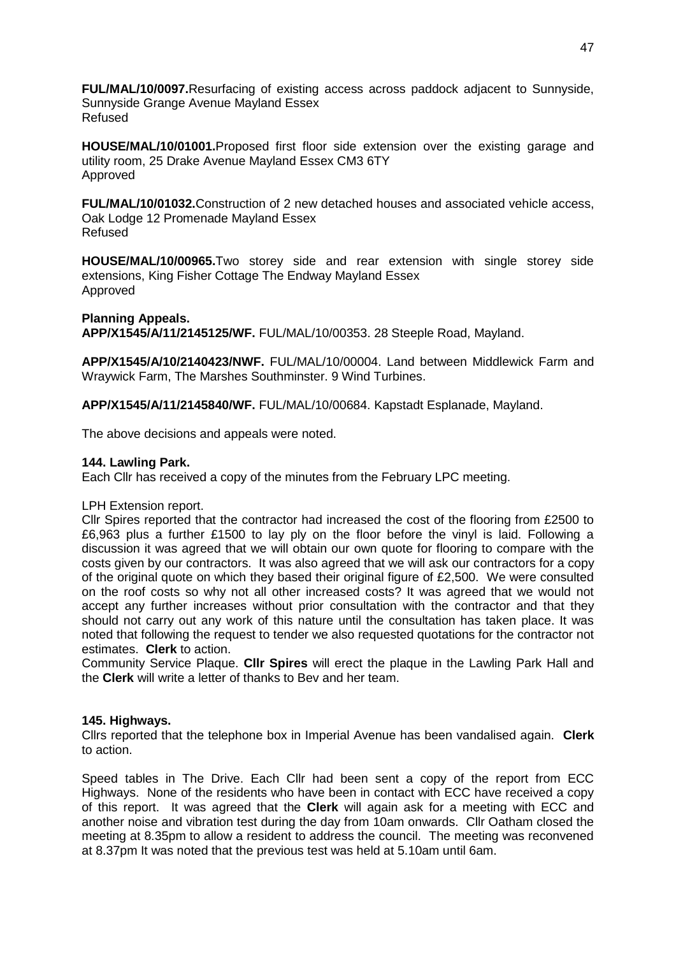**FUL/MAL/10/0097.**Resurfacing of existing access across paddock adjacent to Sunnyside, Sunnyside Grange Avenue Mayland Essex Refused

**HOUSE/MAL/10/01001.**Proposed first floor side extension over the existing garage and utility room, 25 Drake Avenue Mayland Essex CM3 6TY Approved

**FUL/MAL/10/01032.**Construction of 2 new detached houses and associated vehicle access, Oak Lodge 12 Promenade Mayland Essex Refused

**HOUSE/MAL/10/00965.**Two storey side and rear extension with single storey side extensions, King Fisher Cottage The Endway Mayland Essex Approved

#### **Planning Appeals.**

**APP/X1545/A/11/2145125/WF.** FUL/MAL/10/00353. 28 Steeple Road, Mayland.

**APP/X1545/A/10/2140423/NWF.** FUL/MAL/10/00004. Land between Middlewick Farm and Wraywick Farm, The Marshes Southminster. 9 Wind Turbines.

**APP/X1545/A/11/2145840/WF.** FUL/MAL/10/00684. Kapstadt Esplanade, Mayland.

The above decisions and appeals were noted.

#### **144. Lawling Park.**

Each Cllr has received a copy of the minutes from the February LPC meeting.

#### LPH Extension report.

Cllr Spires reported that the contractor had increased the cost of the flooring from £2500 to £6,963 plus a further £1500 to lay ply on the floor before the vinyl is laid. Following a discussion it was agreed that we will obtain our own quote for flooring to compare with the costs given by our contractors. It was also agreed that we will ask our contractors for a copy of the original quote on which they based their original figure of £2,500. We were consulted on the roof costs so why not all other increased costs? It was agreed that we would not accept any further increases without prior consultation with the contractor and that they should not carry out any work of this nature until the consultation has taken place. It was noted that following the request to tender we also requested quotations for the contractor not estimates. **Clerk** to action.

Community Service Plaque. **Cllr Spires** will erect the plaque in the Lawling Park Hall and the **Clerk** will write a letter of thanks to Bev and her team.

#### **145. Highways.**

Cllrs reported that the telephone box in Imperial Avenue has been vandalised again. **Clerk**  to action.

Speed tables in The Drive. Each Cllr had been sent a copy of the report from ECC Highways. None of the residents who have been in contact with ECC have received a copy of this report. It was agreed that the **Clerk** will again ask for a meeting with ECC and another noise and vibration test during the day from 10am onwards. Cllr Oatham closed the meeting at 8.35pm to allow a resident to address the council. The meeting was reconvened at 8.37pm It was noted that the previous test was held at 5.10am until 6am.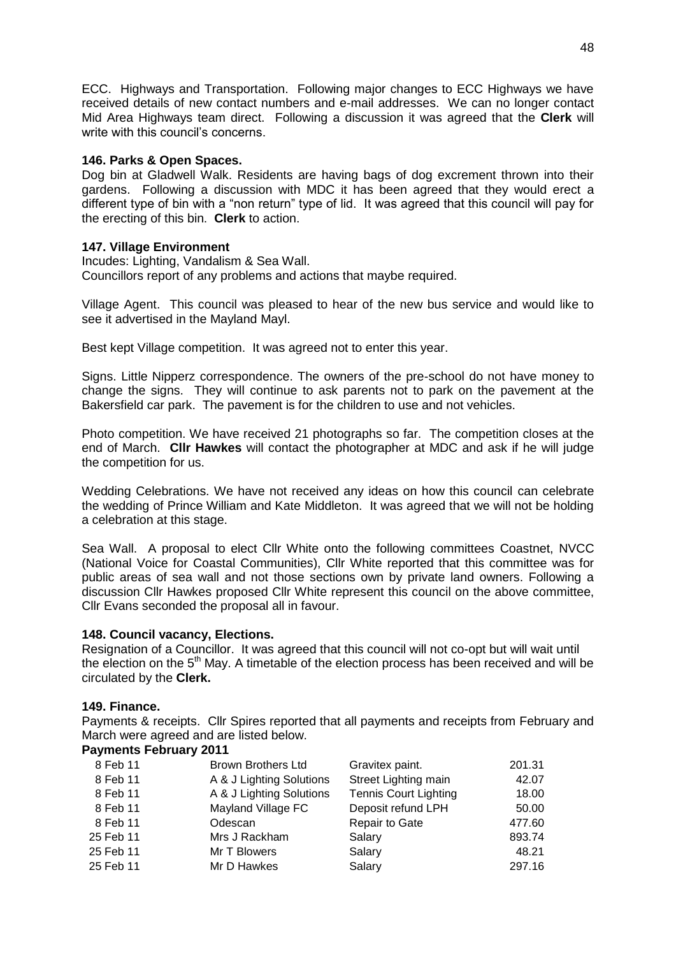ECC. Highways and Transportation. Following major changes to ECC Highways we have received details of new contact numbers and e-mail addresses. We can no longer contact Mid Area Highways team direct. Following a discussion it was agreed that the **Clerk** will write with this council's concerns.

## **146. Parks & Open Spaces.**

Dog bin at Gladwell Walk. Residents are having bags of dog excrement thrown into their gardens. Following a discussion with MDC it has been agreed that they would erect a different type of bin with a "non return" type of lid. It was agreed that this council will pay for the erecting of this bin. **Clerk** to action.

# **147. Village Environment**

Incudes: Lighting, Vandalism & Sea Wall. Councillors report of any problems and actions that maybe required.

Village Agent. This council was pleased to hear of the new bus service and would like to see it advertised in the Mayland Mayl.

Best kept Village competition. It was agreed not to enter this year.

Signs. Little Nipperz correspondence. The owners of the pre-school do not have money to change the signs. They will continue to ask parents not to park on the pavement at the Bakersfield car park. The pavement is for the children to use and not vehicles.

Photo competition. We have received 21 photographs so far. The competition closes at the end of March. **Cllr Hawkes** will contact the photographer at MDC and ask if he will judge the competition for us.

Wedding Celebrations. We have not received any ideas on how this council can celebrate the wedding of Prince William and Kate Middleton. It was agreed that we will not be holding a celebration at this stage.

Sea Wall. A proposal to elect Cllr White onto the following committees Coastnet, NVCC (National Voice for Coastal Communities), Cllr White reported that this committee was for public areas of sea wall and not those sections own by private land owners. Following a discussion Cllr Hawkes proposed Cllr White represent this council on the above committee, Cllr Evans seconded the proposal all in favour.

#### **148. Council vacancy, Elections.**

Resignation of a Councillor. It was agreed that this council will not co-opt but will wait until the election on the  $5<sup>th</sup>$  May. A timetable of the election process has been received and will be circulated by the **Clerk.**

#### **149. Finance.**

Payments & receipts. Cllr Spires reported that all payments and receipts from February and March were agreed and are listed below.

# **Payments February 2011**

| 8 Feb 11  | <b>Brown Brothers Ltd</b> | Gravitex paint.              | 201.31 |
|-----------|---------------------------|------------------------------|--------|
| 8 Feb 11  | A & J Lighting Solutions  | Street Lighting main         | 42.07  |
| 8 Feb 11  | A & J Lighting Solutions  | <b>Tennis Court Lighting</b> | 18.00  |
| 8 Feb 11  | Mayland Village FC        | Deposit refund LPH           | 50.00  |
| 8 Feb 11  | Odescan                   | Repair to Gate               | 477.60 |
| 25 Feb 11 | Mrs J Rackham             | Salary                       | 893.74 |
| 25 Feb 11 | Mr T Blowers              | Salary                       | 48.21  |
| 25 Feb 11 | Mr D Hawkes               | Salary                       | 297.16 |
|           |                           |                              |        |